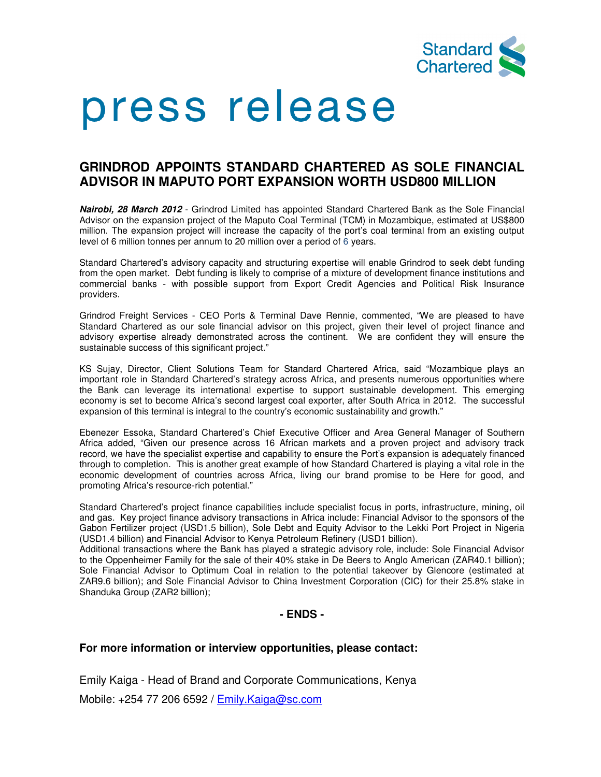

# press release

# **GRINDROD APPOINTS STANDARD CHARTERED AS SOLE FINANCIAL ADVISOR IN MAPUTO PORT EXPANSION WORTH USD800 MILLION**

**Nairobi, 28 March 2012** - Grindrod Limited has appointed Standard Chartered Bank as the Sole Financial Advisor on the expansion project of the Maputo Coal Terminal (TCM) in Mozambique, estimated at US\$800 million. The expansion project will increase the capacity of the port's coal terminal from an existing output level of 6 million tonnes per annum to 20 million over a period of 6 years.

Standard Chartered's advisory capacity and structuring expertise will enable Grindrod to seek debt funding from the open market. Debt funding is likely to comprise of a mixture of development finance institutions and commercial banks - with possible support from Export Credit Agencies and Political Risk Insurance providers.

Grindrod Freight Services - CEO Ports & Terminal Dave Rennie, commented, "We are pleased to have Standard Chartered as our sole financial advisor on this project, given their level of project finance and advisory expertise already demonstrated across the continent. We are confident they will ensure the sustainable success of this significant project."

KS Sujay, Director, Client Solutions Team for Standard Chartered Africa, said "Mozambique plays an important role in Standard Chartered's strategy across Africa, and presents numerous opportunities where the Bank can leverage its international expertise to support sustainable development. This emerging economy is set to become Africa's second largest coal exporter, after South Africa in 2012. The successful expansion of this terminal is integral to the country's economic sustainability and growth."

Ebenezer Essoka, Standard Chartered's Chief Executive Officer and Area General Manager of Southern Africa added, "Given our presence across 16 African markets and a proven project and advisory track record, we have the specialist expertise and capability to ensure the Port's expansion is adequately financed through to completion. This is another great example of how Standard Chartered is playing a vital role in the economic development of countries across Africa, living our brand promise to be Here for good, and promoting Africa's resource-rich potential."

Standard Chartered's project finance capabilities include specialist focus in ports, infrastructure, mining, oil and gas. Key project finance advisory transactions in Africa include: Financial Advisor to the sponsors of the Gabon Fertilizer project (USD1.5 billion), Sole Debt and Equity Advisor to the Lekki Port Project in Nigeria (USD1.4 billion) and Financial Advisor to Kenya Petroleum Refinery (USD1 billion).

Additional transactions where the Bank has played a strategic advisory role, include: Sole Financial Advisor to the Oppenheimer Family for the sale of their 40% stake in De Beers to Anglo American (ZAR40.1 billion); Sole Financial Advisor to Optimum Coal in relation to the potential takeover by Glencore (estimated at ZAR9.6 billion); and Sole Financial Advisor to China Investment Corporation (CIC) for their 25.8% stake in Shanduka Group (ZAR2 billion);

## **- ENDS -**

### **For more information or interview opportunities, please contact:**

Emily Kaiga - Head of Brand and Corporate Communications, Kenya

Mobile: +254 77 206 6592 / **Emily.Kaiga@sc.com**